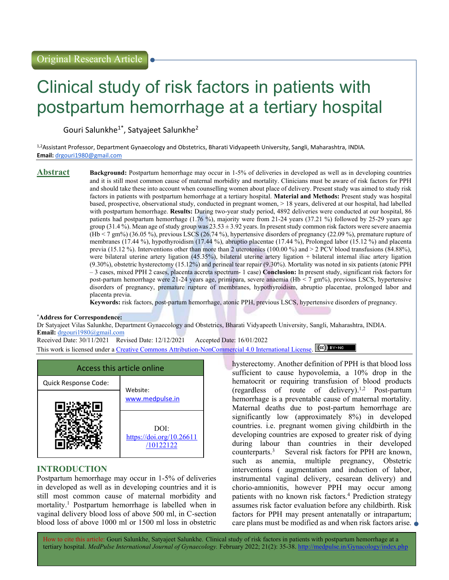# Clinical study of risk factors in patients with postpartum hemorrhage at a tertiary hospital

Gouri Salunkhe1\*, Satyajeet Salunkhe<sup>2</sup>

1,2Assistant Professor, Department Gynaecology and Obstetrics, Bharati Vidyapeeth University, Sangli, Maharashtra, INDIA. Email: drgouri1980@gmail.com

**Abstract** Background: Postpartum hemorrhage may occur in 1-5% of deliveries in developed as well as in developing countries and it is still most common cause of maternal morbidity and mortality. Clinicians must be aware of risk factors for PPH and should take these into account when counselling women about place of delivery. Present study was aimed to study risk factors in patients with postpartum hemorrhage at a tertiary hospital. Material and Methods: Present study was hospital based, prospective, observational study, conducted in pregnant women, > 18 years, delivered at our hospital, had labelled with postpartum hemorrhage. Results: During two-year study period, 4892 deliveries were conducted at our hospital, 86 patients had postpartum hemorrhage (1.76 %), majority were from 21-24 years (37.21 %) followed by 25-29 years age group  $(31.4\%)$ . Mean age of study group was  $23.53 \pm 3.92$  years. In present study common risk factors were severe anaemia (Hb < 7 gm%) (36.05 %), previous LSCS (26.74 %), hypertensive disorders of pregnancy (22.09 %), premature rupture of membranes (17.44 %), hypothyroidism (17.44 %), abruptio placentae (17.44 %), Prolonged labor (15.12 %) and placenta previa (15.12 %). Interventions other than more than 2 uterotonics (100.00 %) and > 2 PCV blood transfusions (84.88%), were bilateral uterine artery ligation (45.35%), bilateral uterine artery ligation + bilateral internal iliac artery ligation (9.30%), obstetric hysterectomy (15.12%) and perineal tear repair (9.30%). Mortality was noted in six patients (atonic PPH – 3 cases, mixed PPH 2 cases, placenta accreta spectrum- 1 case) Conclusion: In present study, significant risk factors for post-partum hemorrhage were 21-24 years age, primipara, severe anaemia (Hb < 7 gm%), previous LSCS, hypertensive disorders of pregnancy, premature rupture of membranes, hypothyroidism, abruptio placentae, prolonged labor and placenta previa.

Keywords: risk factors, post-partum hemorrhage, atonic PPH, previous LSCS, hypertensive disorders of pregnancy.

## \*Address for Correspondence:

Dr Satyajeet Vilas Salunkhe, Department Gynaecology and Obstetrics, Bharati Vidyapeeth University, Sangli, Maharashtra, INDIA. Email: drgouri1980@gmail.com

Received Date: 30/11/2021 Revised Date: 12/12/2021 Accepted Date: 16/01/2022 This work is licensed under a Creative Commons Attribution-NonCommercial 4.0 International License. (cc) BY-NO



## INTRODUCTION

Postpartum hemorrhage may occur in 1-5% of deliveries in developed as well as in developing countries and it is still most common cause of maternal morbidity and mortality.<sup>1</sup> Postpartum hemorrhage is labelled when in vaginal delivery blood loss of above 500 ml, in C-section blood loss of above 1000 ml or 1500 ml loss in obstetric

hysterectomy. Another definition of PPH is that blood loss sufficient to cause hypovolemia, a 10% drop in the hematocrit or requiring transfusion of blood products (regardless of route of delivery).1,2 Post-partum hemorrhage is a preventable cause of maternal mortality. Maternal deaths due to post-partum hemorrhage are significantly low (approximately 8%) in developed countries. i.e. pregnant women giving childbirth in the developing countries are exposed to greater risk of dying during labour than countries in their developed counterparts.<sup>3</sup> Several risk factors for PPH are known, such as anemia, multiple pregnancy, Obstetric interventions ( augmentation and induction of labor, instrumental vaginal delivery, cesarean delivery) and chorio-amnionitis, however PPH may occur among patients with no known risk factors.<sup>4</sup> Prediction strategy assumes risk factor evaluation before any childbirth. Risk factors for PPH may present antenatally or intrapartum; care plans must be modified as and when risk factors arise.

How to cite this article: Gouri Salunkhe, Satyajeet Salunkhe. Clinical study of risk factors in patients with postpartum hemorrhage at a tertiary hospital. MedPulse International Journal of Gynaecology. February 2022; 21(2): 35-38. http://medpulse.in/Gynacology/index.php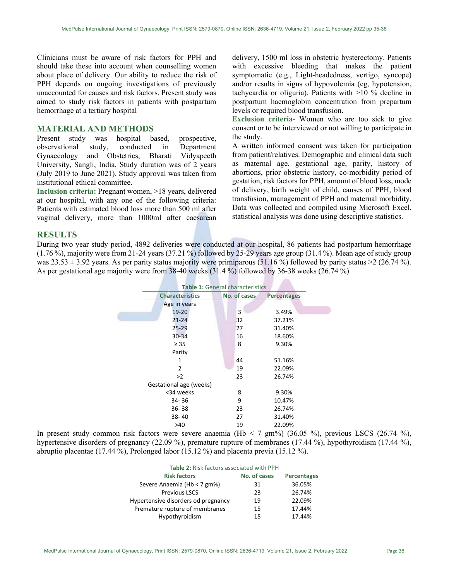Clinicians must be aware of risk factors for PPH and should take these into account when counselling women about place of delivery. Our ability to reduce the risk of PPH depends on ongoing investigations of previously unaccounted for causes and risk factors. Present study was aimed to study risk factors in patients with postpartum hemorrhage at a tertiary hospital

## MATERIAL AND METHODS

Present study was hospital based, prospective, observational study, conducted in Department Gynaecology and Obstetrics, Bharati Vidyapeeth University, Sangli, India. Study duration was of 2 years (July 2019 to June 2021). Study approval was taken from institutional ethical committee.

Inclusion criteria: Pregnant women, >18 years, delivered at our hospital, with any one of the following criteria: Patients with estimated blood loss more than 500 ml after vaginal delivery, more than 1000ml after caesarean delivery, 1500 ml loss in obstetric hysterectomy. Patients with excessive bleeding that makes the patient symptomatic (e.g., Light-headedness, vertigo, syncope) and/or results in signs of hypovolemia (eg, hypotension, tachycardia or oliguria). Patients with >10 % decline in postpartum haemoglobin concentration from prepartum levels or required blood transfusion.

Exclusion criteria- Women who are too sick to give consent or to be interviewed or not willing to participate in the study.

A written informed consent was taken for participation from patient/relatives. Demographic and clinical data such as maternal age, gestational age, parity, history of abortions, prior obstetric history, co-morbidity period of gestation, risk factors for PPH, amount of blood loss, mode of delivery, birth weight of child, causes of PPH, blood transfusion, management of PPH and maternal morbidity. Data was collected and compiled using Microsoft Excel, statistical analysis was done using descriptive statistics.

### **RESULTS**

During two year study period, 4892 deliveries were conducted at our hospital, 86 patients had postpartum hemorrhage  $(1.76\%)$ , majority were from 21-24 years  $(37.21\%)$  followed by 25-29 years age group  $(31.4\%)$ . Mean age of study group was  $23.53 \pm 3.92$  years. As per parity status majority were primiparous (51.16 %) followed by parity status >2 (26.74 %). As per gestational age majority were from 38-40 weeks (31.4 %) followed by 36-38 weeks (26.74 %)

and the same of the con-

| <b>Table 1: General characteristics</b> |              |                    |  |  |
|-----------------------------------------|--------------|--------------------|--|--|
| <b>Characteristics</b>                  | No. of cases | <b>Percentages</b> |  |  |
| Age in years                            |              |                    |  |  |
| 19-20                                   | 3            | 3.49%              |  |  |
| $21 - 24$                               | 32           | 37.21%             |  |  |
| $25 - 29$                               | 27           | 31.40%             |  |  |
| $30 - 34$                               | 16           | 18.60%             |  |  |
| $\geq 35$                               | 8            | 9.30%              |  |  |
| Parity                                  |              |                    |  |  |
| 1                                       | 44           | 51.16%             |  |  |
| 2                                       | 19           | 22.09%             |  |  |
| >2                                      | 23           | 26.74%             |  |  |
| Gestational age (weeks)                 |              |                    |  |  |
| <34 weeks                               | 8            | 9.30%              |  |  |
| 34-36                                   | 9            | 10.47%             |  |  |
| 36-38                                   | 23           | 26.74%             |  |  |
| 38-40                                   | 27           | 31.40%             |  |  |
| >40                                     | 19           | 22.09%             |  |  |

In present study common risk factors were severe anaemia (Hb < 7 gm%) (36.05 %), previous LSCS (26.74 %), hypertensive disorders of pregnancy (22.09 %), premature rupture of membranes (17.44 %), hypothyroidism (17.44 %), abruptio placentae (17.44 %), Prolonged labor (15.12 %) and placenta previa (15.12 %).

| <b>Table 2: Risk factors associated with PPH</b> |              |                    |  |  |
|--------------------------------------------------|--------------|--------------------|--|--|
| <b>Risk factors</b>                              | No. of cases | <b>Percentages</b> |  |  |
| Severe Anaemia (Hb < 7 gm%)                      | 31           | 36.05%             |  |  |
| <b>Previous LSCS</b>                             | 23           | 26.74%             |  |  |
| Hypertensive disorders od pregnancy              | 19           | 22.09%             |  |  |
| Premature rupture of membranes                   | 15           | 17.44%             |  |  |
| Hypothyroidism                                   | 15           | 17.44%             |  |  |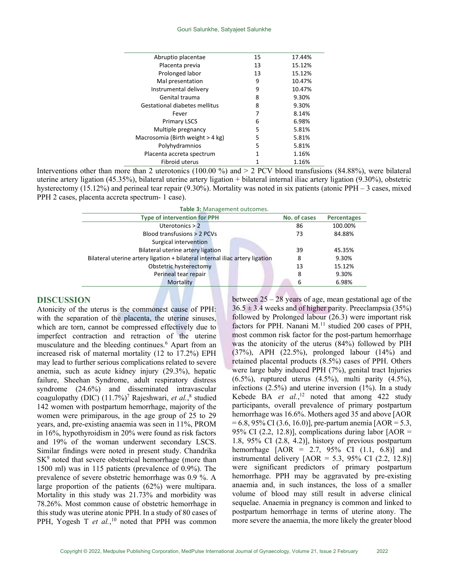| Abruptio placentae               | 15 | 17.44% |
|----------------------------------|----|--------|
| Placenta previa                  | 13 | 15.12% |
| Prolonged labor                  | 13 | 15.12% |
| Mal presentation                 | 9  | 10.47% |
| Instrumental delivery            | 9  | 10.47% |
| Genital trauma                   | 8  | 9.30%  |
| Gestational diabetes mellitus    | 8  | 9.30%  |
| Fever                            | 7  | 8.14%  |
| <b>Primary LSCS</b>              | 6  | 6.98%  |
| Multiple pregnancy               | 5  | 5.81%  |
| Macrosomia (Birth weight > 4 kg) | 5  | 5.81%  |
| Polyhydramnios                   | 5  | 5.81%  |
| Placenta accreta spectrum        | 1  | 1.16%  |
| Fibroid uterus                   |    | 1.16%  |

Interventions other than more than 2 uterotonics (100.00 %) and  $>$  2 PCV blood transfusions (84.88%), were bilateral uterine artery ligation (45.35%), bilateral uterine artery ligation + bilateral internal iliac artery ligation (9.30%), obstetric hysterectomy (15.12%) and perineal tear repair (9.30%). Mortality was noted in six patients (atonic PPH – 3 cases, mixed PPH 2 cases, placenta accreta spectrum- 1 case).

| Table 3: Management outcomes.                                                |              |                    |  |  |  |
|------------------------------------------------------------------------------|--------------|--------------------|--|--|--|
| <b>Type of intervention for PPH</b>                                          | No. of cases | <b>Percentages</b> |  |  |  |
| Uterotonics $> 2$                                                            | 86           | 100.00%            |  |  |  |
| Blood transfusions > 2 PCVs                                                  | 73           | 84.88%             |  |  |  |
| Surgical intervention                                                        |              |                    |  |  |  |
| Bilateral uterine artery ligation                                            | 39           | 45.35%             |  |  |  |
| Bilateral uterine artery ligation + bilateral internal iliac artery ligation | 8            | 9.30%              |  |  |  |
| Obstetric hysterectomy                                                       | 13           | 15.12%             |  |  |  |
| Perineal tear repair                                                         | 8            | 9.30%              |  |  |  |
| Mortality                                                                    | 6            | 6.98%              |  |  |  |
|                                                                              |              |                    |  |  |  |

## DISCUSSION

Atonicity of the uterus is the commonest cause of PPH: with the separation of the placenta, the uterine sinuses, which are torn, cannot be compressed effectively due to imperfect contraction and retraction of the uterine musculature and the bleeding continues.<sup>6</sup> Apart from an increased risk of maternal mortality (12 to 17.2%) EPH may lead to further serious complications related to severe anemia, such as acute kidney injury (29.3%), hepatic failure, Sheehan Syndrome, adult respiratory distress syndrome (24.6%) and disseminated intravascular coagulopathy (DIC) (11.7%)<sup>7</sup> Rajeshwari, et al.,<sup>8</sup> studied 142 women with postpartum hemorrhage, majority of the women were primiparous, in the age group of 25 to 29 years, and, pre-existing anaemia was seen in 11%, PROM in 16%, hypothyroidism in 20% were found as risk factors and 19% of the woman underwent secondary LSCS. Similar findings were noted in present study. Chandrika SK<sup>9</sup> noted that severe obstetrical hemorrhage (more than 1500 ml) was in 115 patients (prevalence of 0.9%). The prevalence of severe obstetric hemorrhage was 0.9 %. A large proportion of the patients (62%) were multipara. Mortality in this study was 21.73% and morbidity was 78.26%. Most common cause of obstetric hemorrhage in this study was uterine atonic PPH. In a study of 80 cases of PPH, Yogesh T et  $al$ , <sup>10</sup> noted that PPH was common between 25 – 28 years of age, mean gestational age of the  $36.5 \pm 3.4$  weeks and of higher parity. Preeclampsia (35%) followed by Prolonged labour (26.3) were important risk factors for PPH. Nanani  $M$ .<sup>11</sup> studied 200 cases of PPH, most common risk factor for the post-partum hemorrhage was the atonicity of the uterus (84%) followed by PIH (37%), APH (22.5%), prolonged labour (14%) and retained placental products (8.5%) cases of PPH. Others were large baby induced PPH (7%), genital tract Injuries  $(6.5\%)$ , ruptured uterus  $(4.5\%)$ , multi parity  $(4.5\%)$ , infections (2.5%) and uterine inversion (1%). In a study Kebede BA et  $al.$ <sup>12</sup> noted that among 422 study participants, overall prevalence of primary postpartum hemorrhage was 16.6%. Mothers aged 35 and above [AOR  $= 6.8, 95\% \text{ CI } (3.6, 16.0)$ , pre-partum anemia [AOR = 5.3, 95% CI (2.2, 12.8)], complications during labor  $[AOR =$ 1.8, 95% CI (2.8, 4.2)], history of previous postpartum hemorrhage  $[AOR = 2.7, 95\% \text{ CI} (1.1, 6.8)]$  and instrumental delivery  $[AOR = 5.3, 95\% \text{ CI } (2.2, 12.8)]$ were significant predictors of primary postpartum hemorrhage. PPH may be aggravated by pre-existing anaemia and, in such instances, the loss of a smaller volume of blood may still result in adverse clinical sequelae. Anaemia in pregnancy is common and linked to postpartum hemorrhage in terms of uterine atony. The more severe the anaemia, the more likely the greater blood